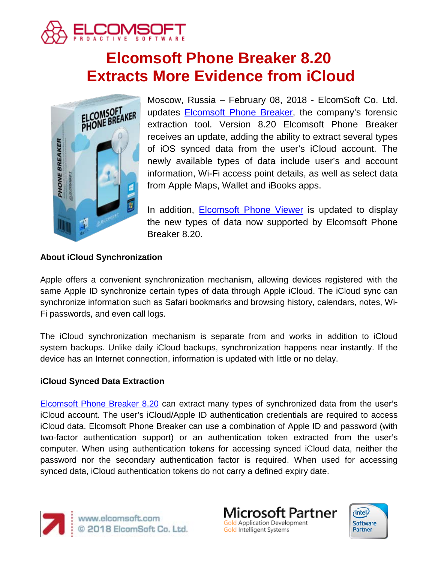

# **Elcomsoft Phone Breaker 8.20 Extracts More Evidence from iCloud**



Moscow, Russia – February 08, 2018 - ElcomSoft Co. Ltd. updates [Elcomsoft Phone Breaker,](https://www.elcomsoft.com/eppb.html) the company's forensic extraction tool. Version 8.20 Elcomsoft Phone Breaker receives an update, adding the ability to extract several types of iOS synced data from the user's iCloud account. The newly available types of data include user's and account information, Wi-Fi access point details, as well as select data from Apple Maps, Wallet and iBooks apps.

In addition, [Elcomsoft Phone Viewer](https://www.elcomsoft.com/epv.html) is updated to display the new types of data now supported by Elcomsoft Phone Breaker 8.20.

# **About iCloud Synchronization**

Apple offers a convenient synchronization mechanism, allowing devices registered with the same Apple ID synchronize certain types of data through Apple iCloud. The iCloud sync can synchronize information such as Safari bookmarks and browsing history, calendars, notes, Wi-Fi passwords, and even call logs.

The iCloud synchronization mechanism is separate from and works in addition to iCloud system backups. Unlike daily iCloud backups, synchronization happens near instantly. If the device has an Internet connection, information is updated with little or no delay.

## **iCloud Synced Data Extraction**

[Elcomsoft Phone Breaker 8.20](https://www.elcomsoft.com/eppb.html) can extract many types of synchronized data from the user's iCloud account. The user's iCloud/Apple ID authentication credentials are required to access iCloud data. Elcomsoft Phone Breaker can use a combination of Apple ID and password (with two-factor authentication support) or an authentication token extracted from the user's computer. When using authentication tokens for accessing synced iCloud data, neither the password nor the secondary authentication factor is required. When used for accessing synced data, iCloud authentication tokens do not carry a defined expiry date.



www.elcomsoft.com 2018 ElcomSoft Co. Ltd.

licrosoft Partner **Gold Application Development** Gold Intelligent Systems

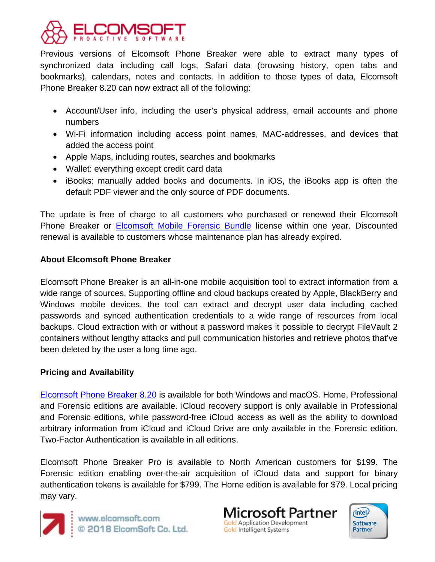

Previous versions of Elcomsoft Phone Breaker were able to extract many types of synchronized data including call logs, Safari data (browsing history, open tabs and bookmarks), calendars, notes and contacts. In addition to those types of data, Elcomsoft Phone Breaker 8.20 can now extract all of the following:

- Account/User info, including the user's physical address, email accounts and phone numbers
- Wi-Fi information including access point names, MAC-addresses, and devices that added the access point
- Apple Maps, including routes, searches and bookmarks
- Wallet: everything except credit card data
- iBooks: manually added books and documents. In iOS, the iBooks app is often the default PDF viewer and the only source of PDF documents.

The update is free of charge to all customers who purchased or renewed their Elcomsoft Phone Breaker or [Elcomsoft Mobile Forensic Bundle](https://www.elcomsoft.com/emfb.html) license within one year. Discounted renewal is available to customers whose maintenance plan has already expired.

## **About Elcomsoft Phone Breaker**

Elcomsoft Phone Breaker is an all-in-one mobile acquisition tool to extract information from a wide range of sources. Supporting offline and cloud backups created by Apple, BlackBerry and Windows mobile devices, the tool can extract and decrypt user data including cached passwords and synced authentication credentials to a wide range of resources from local backups. Cloud extraction with or without a password makes it possible to decrypt FileVault 2 containers without lengthy attacks and pull communication histories and retrieve photos that've been deleted by the user a long time ago.

## **Pricing and Availability**

[Elcomsoft Phone Breaker 8.20](https://www.elcomsoft.com/eppb.html) is available for both Windows and macOS. Home, Professional and Forensic editions are available. iCloud recovery support is only available in Professional and Forensic editions, while password-free iCloud access as well as the ability to download arbitrary information from iCloud and iCloud Drive are only available in the Forensic edition. Two-Factor Authentication is available in all editions.

Elcomsoft Phone Breaker Pro is available to North American customers for \$199. The Forensic edition enabling over-the-air acquisition of iCloud data and support for binary authentication tokens is available for \$799. The Home edition is available for \$79. Local pricing may vary.



www.elcomsoft.com<br>© 2018 ElcomSoft Co. Ltd.

**Microsoft Partner Gold Application Development** Gold Intelligent Systems